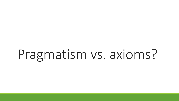# Pragmatism vs. axioms?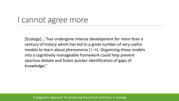### I cannot agree more

[Ecology]…."has undergone intense development for more than a century of history which has led to a great number of very useful models to learn about phenomena  $[1-4]$ . Organizing these models into a cognitively manageable framework could help prevent spurious debate and foster quicker identification of gaps of knowledge."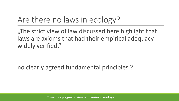# Are there no laws in ecology?

"The strict view of law discussed here highlight that laws are axioms that had their empirical adequacy widely verified."

no clearly agreed fundamental principles ?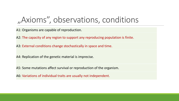# ", Axioms", observations, conditions,

A1: Organisms are capable of reproduction.

A2: The capacity of any region to support any reproducing population is finite.

A3: External conditions change stochastically in space and time.

A4: Replication of the genetic material is imprecise.

A5: Some mutations affect survival or reproduction of the organism.

A6: Variations of individual traits are usually not independent.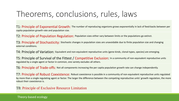### Theorems, conclusions, rules, laws

T1: Principle of Exponential Growth: The number of reproducing organisms grows exponentially in lack of feed-backs between per capita population growth rate and population size.

T2: Principle of Population Regulation: Population sizes either vary between limits or the populations go extinct.

T3: Principle of Stochasticity: Stochastic changes in population sizes are unavoidable due to finite population size and changing external conditions.

T4: Principle of Variation: Equivalent and non-equivalent reproductive units (gene-kinds, clonal-types, species) are emerging.

T5: Principle of Survival of the Fittest / Competitive Exclusion: In a community of non-equivalent reproductive units regulated by a single agent or factor in common, one variety excludes all others.

T6: Principle of Trade-offs: Not all components increasing the per capita population growth rate can change independently.

T7: Principle of Robust Coexistence: Robust coexistence is possible in a community of non-equivalent reproductive units regulated by more than a single regulating agent or factor. The larger the difference between the competing reproductive units' growth regulation, the more robust their coexistence is.

T8: Principle of Exclusive Resource Limitation

Theory-based ecology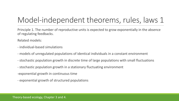# Model-independent theorems, rules, laws 1

Principle 1. The number of reproductive units is expected to grow exponentially in the absence of regulating feedbacks.

Related models:

- individual-based simulations
- models of unregulated populations of identical individuals in a constant environment
- stochastic population growth in discrete time of large populations with small fluctuations
- stochastic population growth in a stationary fluctuating environment
- -exponential growth in continuous time
- exponential growth of structured populations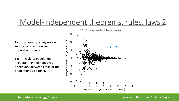### Model-independent theorems, rules, laws 2

A2: The capacity of any region to support any reproducing population is finite.

T2: Principle of Population Regulation: Population sizes either vary between limits or the populations go extinct.



1189 independent time series

#### Theory-based ecology, Chapter 6.

#### Brook and Bradshaw 2006, Ecology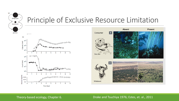

### Principle of Exclusive Resource Limitation



#### Theory-based ecology, Chapter 6. Drake and Tsuchiya 1976; Estes, et. al., 2011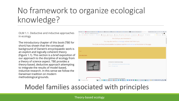# No framework to organize ecological knowledge?

OLM 1.1. Deductive and inductive approaches in ecology

The introductory chapter of this book (TBE for short) has shown that the conceptual background of Darwin's encyclopaedic work is an explicit and logically coherent theory (Figure 1.1). This section is a brief exposition of our approach to the discipline of ecology from a theory of science aspect. TBE provides a theory-based, deductive approach attempting to integrate the results of model-based, inductive research. In this sense we follow the Darwinian tradition on modern methodological grounds.



### Model families associated with principles